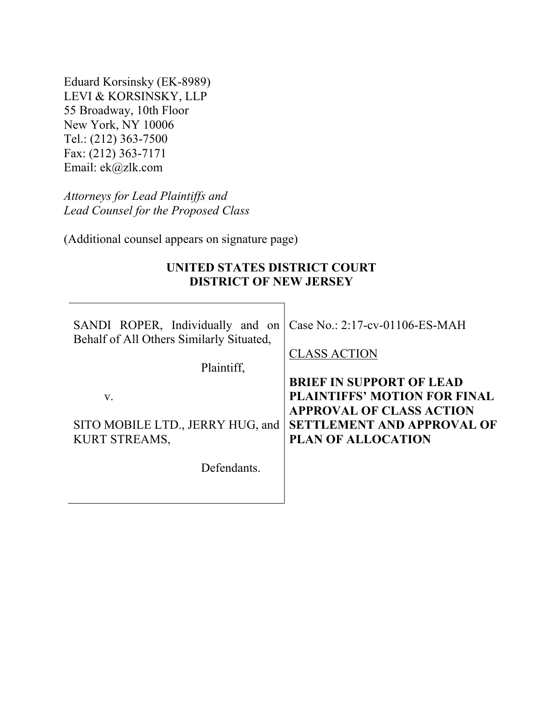Eduard Korsinsky (EK-8989) LEVI & KORSINSKY, LLP 55 Broadway, 10th Floor New York, NY 10006 Tel.: (212) 363-7500 Fax: (212) 363-7171 Email: ek@zlk.com

*Attorneys for Lead Plaintiffs and Lead Counsel for the Proposed Class* 

(Additional counsel appears on signature page)

### **UNITED STATES DISTRICT COURT DISTRICT OF NEW JERSEY**

| SANDI ROPER, Individually and on<br>Behalf of All Others Similarly Situated, | Case No.: 2:17-cv-01106-ES-MAH      |
|------------------------------------------------------------------------------|-------------------------------------|
|                                                                              | <b>CLASS ACTION</b>                 |
| Plaintiff,                                                                   |                                     |
|                                                                              | <b>BRIEF IN SUPPORT OF LEAD</b>     |
| V.                                                                           | <b>PLAINTIFFS' MOTION FOR FINAL</b> |
|                                                                              | <b>APPROVAL OF CLASS ACTION</b>     |
| SITO MOBILE LTD., JERRY HUG, and                                             | <b>SETTLEMENT AND APPROVAL OF</b>   |
| <b>KURT STREAMS,</b>                                                         | PLAN OF ALLOCATION                  |
|                                                                              |                                     |
| Defendants.                                                                  |                                     |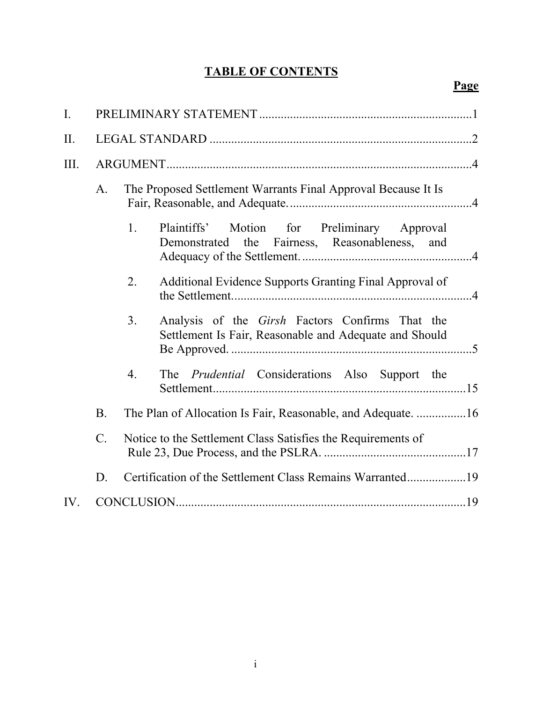## **TABLE OF CONTENTS**

## **Page**

| I.   |             |                  |                                                                                                                  |
|------|-------------|------------------|------------------------------------------------------------------------------------------------------------------|
| II.  |             |                  |                                                                                                                  |
| III. |             |                  |                                                                                                                  |
|      | A.          |                  | The Proposed Settlement Warrants Final Approval Because It Is                                                    |
|      |             | 1.               | Plaintiffs'<br>Motion for Preliminary Approval<br>Demonstrated the Fairness, Reasonableness, and                 |
|      |             | 2.               | Additional Evidence Supports Granting Final Approval of                                                          |
|      |             | 3.               | Analysis of the <i>Girsh</i> Factors Confirms That the<br>Settlement Is Fair, Reasonable and Adequate and Should |
|      |             | $\overline{4}$ . | The Prudential Considerations Also Support the                                                                   |
|      | <b>B.</b>   |                  | The Plan of Allocation Is Fair, Reasonable, and Adequate. 16                                                     |
|      | $C_{\cdot}$ |                  | Notice to the Settlement Class Satisfies the Requirements of                                                     |
|      | D.          |                  | Certification of the Settlement Class Remains Warranted19                                                        |
| IV.  |             |                  |                                                                                                                  |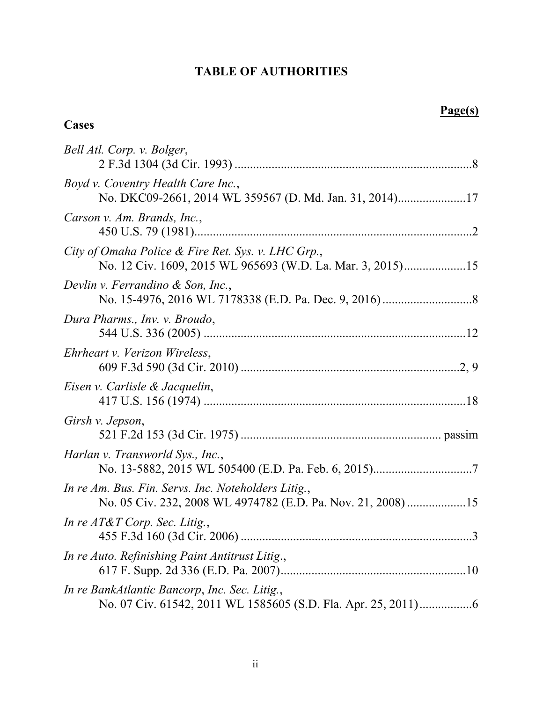### **TABLE OF AUTHORITIES**

**Cases**

### **Page(s)**

| Bell Atl. Corp. v. Bolger,                                                                                          |
|---------------------------------------------------------------------------------------------------------------------|
| Boyd v. Coventry Health Care Inc.,                                                                                  |
| Carson v. Am. Brands, Inc.,                                                                                         |
| City of Omaha Police & Fire Ret. Sys. v. LHC Grp.,<br>No. 12 Civ. 1609, 2015 WL 965693 (W.D. La. Mar. 3, 2015)15    |
| Devlin v. Ferrandino & Son, Inc.,                                                                                   |
| Dura Pharms., Inv. v. Broudo,                                                                                       |
| Ehrheart v. Verizon Wireless,                                                                                       |
| Eisen v. Carlisle & Jacquelin,                                                                                      |
| Girsh v. Jepson,                                                                                                    |
| Harlan v. Transworld Sys., Inc.,                                                                                    |
| In re Am. Bus. Fin. Servs. Inc. Noteholders Litig.,<br>No. 05 Civ. 232, 2008 WL 4974782 (E.D. Pa. Nov. 21, 2008) 15 |
| In re AT&T Corp. Sec. Litig.,                                                                                       |
| In re Auto. Refinishing Paint Antitrust Litig.,                                                                     |
| In re BankAtlantic Bancorp, Inc. Sec. Litig.,                                                                       |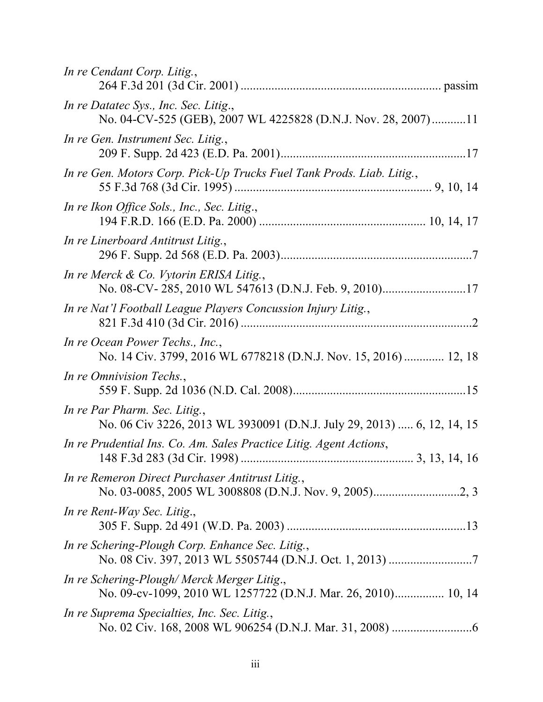| In re Cendant Corp. Litig.,                                                                                 |
|-------------------------------------------------------------------------------------------------------------|
| In re Datatec Sys., Inc. Sec. Litig.,<br>No. 04-CV-525 (GEB), 2007 WL 4225828 (D.N.J. Nov. 28, 2007)11      |
| In re Gen. Instrument Sec. Litig.,                                                                          |
| In re Gen. Motors Corp. Pick-Up Trucks Fuel Tank Prods. Liab. Litig.,                                       |
| In re Ikon Office Sols., Inc., Sec. Litig.,                                                                 |
| In re Linerboard Antitrust Litig.,                                                                          |
| In re Merck & Co. Vytorin ERISA Litig.,                                                                     |
| In re Nat'l Football League Players Concussion Injury Litig.,                                               |
| In re Ocean Power Techs., Inc.,<br>No. 14 Civ. 3799, 2016 WL 6778218 (D.N.J. Nov. 15, 2016)  12, 18         |
| In re Omnivision Techs.,                                                                                    |
| In re Par Pharm. Sec. Litig.,<br>No. 06 Civ 3226, 2013 WL 3930091 (D.N.J. July 29, 2013)  6, 12, 14, 15     |
| In re Prudential Ins. Co. Am. Sales Practice Litig. Agent Actions,                                          |
| In re Remeron Direct Purchaser Antitrust Litig.,                                                            |
| In re Rent-Way Sec. Litig.,                                                                                 |
| In re Schering-Plough Corp. Enhance Sec. Litig.,                                                            |
| In re Schering-Plough/Merck Merger Litig.,<br>No. 09-cv-1099, 2010 WL 1257722 (D.N.J. Mar. 26, 2010) 10, 14 |
| In re Suprema Specialties, Inc. Sec. Litig.,                                                                |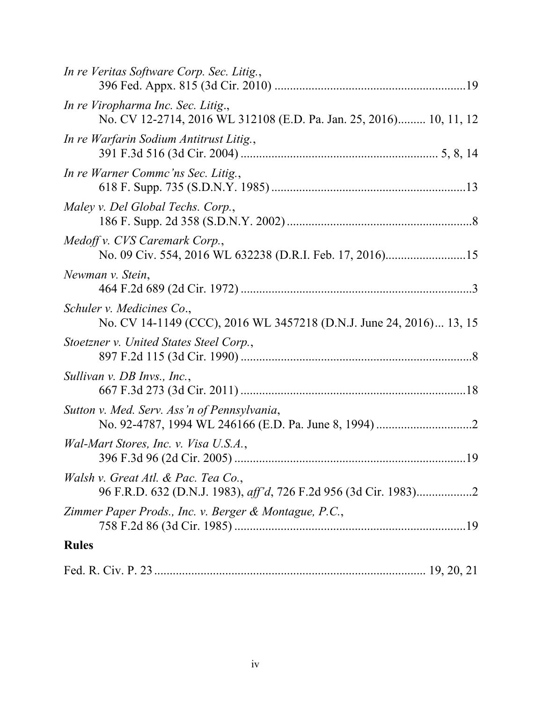| In re Veritas Software Corp. Sec. Litig.,                                                                |
|----------------------------------------------------------------------------------------------------------|
| In re Viropharma Inc. Sec. Litig.,<br>No. CV 12-2714, 2016 WL 312108 (E.D. Pa. Jan. 25, 2016) 10, 11, 12 |
| In re Warfarin Sodium Antitrust Litig.,                                                                  |
| In re Warner Commc'ns Sec. Litig.,                                                                       |
| Maley v. Del Global Techs. Corp.,                                                                        |
| Medoff v. CVS Caremark Corp.,<br>No. 09 Civ. 554, 2016 WL 632238 (D.R.I. Feb. 17, 2016)15                |
| Newman v. Stein,                                                                                         |
| Schuler v. Medicines Co.,<br>No. CV 14-1149 (CCC), 2016 WL 3457218 (D.N.J. June 24, 2016) 13, 15         |
| Stoetzner v. United States Steel Corp.,                                                                  |
| Sullivan v. DB Invs., Inc.,                                                                              |
| Sutton v. Med. Serv. Ass'n of Pennsylvania,                                                              |
| Wal-Mart Stores, Inc. v. Visa U.S.A.,                                                                    |
| Walsh v. Great Atl. & Pac. Tea Co.,                                                                      |
| Zimmer Paper Prods., Inc. v. Berger & Montague, P.C.,                                                    |
| <b>Rules</b>                                                                                             |
|                                                                                                          |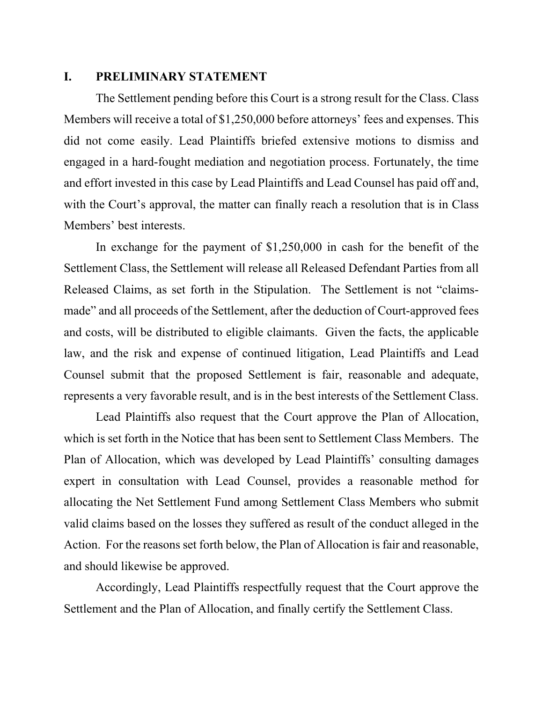### **I. PRELIMINARY STATEMENT**

The Settlement pending before this Court is a strong result for the Class. Class Members will receive a total of \$1,250,000 before attorneys' fees and expenses. This did not come easily. Lead Plaintiffs briefed extensive motions to dismiss and engaged in a hard-fought mediation and negotiation process. Fortunately, the time and effort invested in this case by Lead Plaintiffs and Lead Counsel has paid off and, with the Court's approval, the matter can finally reach a resolution that is in Class Members' best interests.

In exchange for the payment of \$1,250,000 in cash for the benefit of the Settlement Class, the Settlement will release all Released Defendant Parties from all Released Claims, as set forth in the Stipulation. The Settlement is not "claimsmade" and all proceeds of the Settlement, after the deduction of Court-approved fees and costs, will be distributed to eligible claimants. Given the facts, the applicable law, and the risk and expense of continued litigation, Lead Plaintiffs and Lead Counsel submit that the proposed Settlement is fair, reasonable and adequate, represents a very favorable result, and is in the best interests of the Settlement Class.

Lead Plaintiffs also request that the Court approve the Plan of Allocation, which is set forth in the Notice that has been sent to Settlement Class Members. The Plan of Allocation, which was developed by Lead Plaintiffs' consulting damages expert in consultation with Lead Counsel, provides a reasonable method for allocating the Net Settlement Fund among Settlement Class Members who submit valid claims based on the losses they suffered as result of the conduct alleged in the Action. For the reasons set forth below, the Plan of Allocation is fair and reasonable, and should likewise be approved.

Accordingly, Lead Plaintiffs respectfully request that the Court approve the Settlement and the Plan of Allocation, and finally certify the Settlement Class.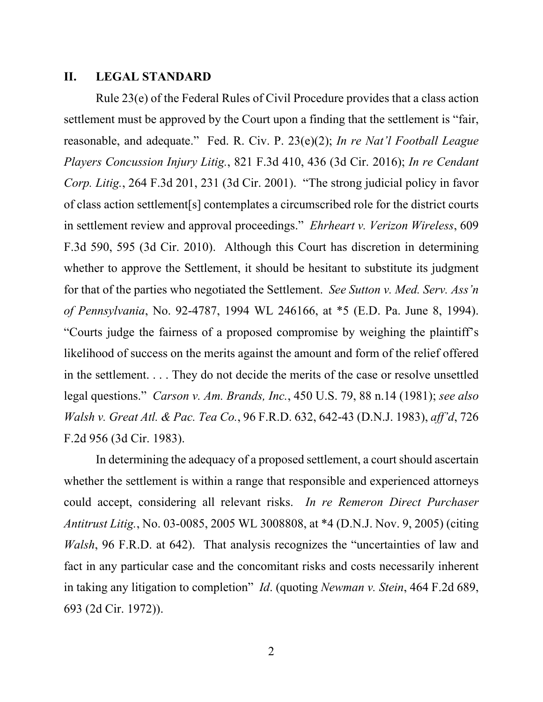### **II. LEGAL STANDARD**

Rule 23(e) of the Federal Rules of Civil Procedure provides that a class action settlement must be approved by the Court upon a finding that the settlement is "fair, reasonable, and adequate." Fed. R. Civ. P. 23(e)(2); *In re Nat'l Football League Players Concussion Injury Litig.*, 821 F.3d 410, 436 (3d Cir. 2016); *In re Cendant Corp. Litig.*, 264 F.3d 201, 231 (3d Cir. 2001). "The strong judicial policy in favor of class action settlement[s] contemplates a circumscribed role for the district courts in settlement review and approval proceedings." *Ehrheart v. Verizon Wireless*, 609 F.3d 590, 595 (3d Cir. 2010). Although this Court has discretion in determining whether to approve the Settlement, it should be hesitant to substitute its judgment for that of the parties who negotiated the Settlement. *See Sutton v. Med. Serv. Ass'n of Pennsylvania*, No. 92-4787, 1994 WL 246166, at \*5 (E.D. Pa. June 8, 1994). "Courts judge the fairness of a proposed compromise by weighing the plaintiff's likelihood of success on the merits against the amount and form of the relief offered in the settlement. . . . They do not decide the merits of the case or resolve unsettled legal questions." *Carson v. Am. Brands, Inc.*, 450 U.S. 79, 88 n.14 (1981); *see also Walsh v. Great Atl. & Pac. Tea Co.*, 96 F.R.D. 632, 642-43 (D.N.J. 1983), *aff'd*, 726 F.2d 956 (3d Cir. 1983).

In determining the adequacy of a proposed settlement, a court should ascertain whether the settlement is within a range that responsible and experienced attorneys could accept, considering all relevant risks. *In re Remeron Direct Purchaser Antitrust Litig.*, No. 03-0085, 2005 WL 3008808, at \*4 (D.N.J. Nov. 9, 2005) (citing *Walsh*, 96 F.R.D. at 642). That analysis recognizes the "uncertainties of law and fact in any particular case and the concomitant risks and costs necessarily inherent in taking any litigation to completion" *Id*. (quoting *Newman v. Stein*, 464 F.2d 689, 693 (2d Cir. 1972)).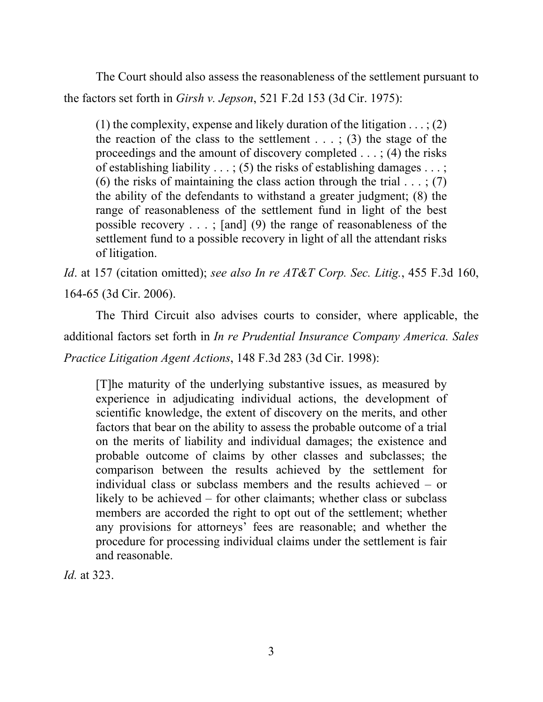The Court should also assess the reasonableness of the settlement pursuant to the factors set forth in *Girsh v. Jepson*, 521 F.2d 153 (3d Cir. 1975):

(1) the complexity, expense and likely duration of the litigation  $\dots$ ; (2) the reaction of the class to the settlement  $\dots$ ; (3) the stage of the proceedings and the amount of discovery completed . . . ; (4) the risks of establishing liability  $\dots$ ; (5) the risks of establishing damages  $\dots$ ; (6) the risks of maintaining the class action through the trial  $\dots$ ; (7) the ability of the defendants to withstand a greater judgment; (8) the range of reasonableness of the settlement fund in light of the best possible recovery  $\dots$ ; [and] (9) the range of reasonableness of the settlement fund to a possible recovery in light of all the attendant risks of litigation.

*Id*. at 157 (citation omitted); *see also In re AT&T Corp. Sec. Litig.*, 455 F.3d 160, 164-65 (3d Cir. 2006).

The Third Circuit also advises courts to consider, where applicable, the additional factors set forth in *In re Prudential Insurance Company America. Sales Practice Litigation Agent Actions*, 148 F.3d 283 (3d Cir. 1998):

[T]he maturity of the underlying substantive issues, as measured by experience in adjudicating individual actions, the development of scientific knowledge, the extent of discovery on the merits, and other factors that bear on the ability to assess the probable outcome of a trial on the merits of liability and individual damages; the existence and probable outcome of claims by other classes and subclasses; the comparison between the results achieved by the settlement for individual class or subclass members and the results achieved – or likely to be achieved – for other claimants; whether class or subclass members are accorded the right to opt out of the settlement; whether any provisions for attorneys' fees are reasonable; and whether the procedure for processing individual claims under the settlement is fair and reasonable.

*Id.* at 323.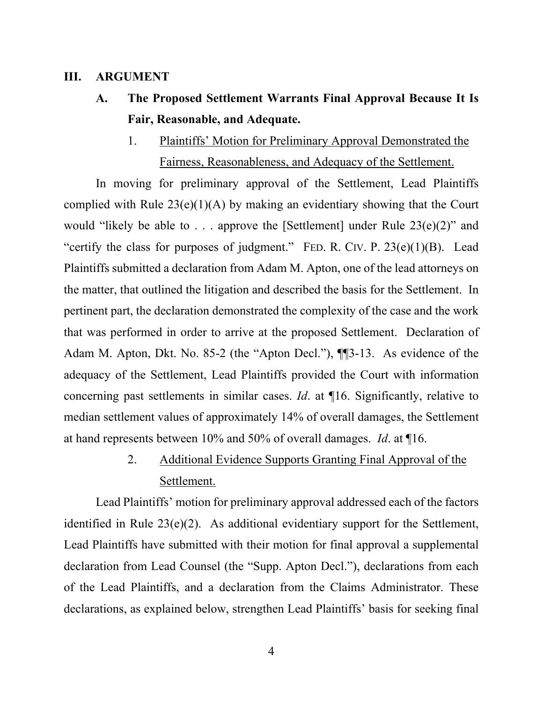#### **III. ARGUMENT**

- **A. The Proposed Settlement Warrants Final Approval Because It Is Fair, Reasonable, and Adequate.** 
	- 1. Plaintiffs' Motion for Preliminary Approval Demonstrated the Fairness, Reasonableness, and Adequacy of the Settlement.

In moving for preliminary approval of the Settlement, Lead Plaintiffs complied with Rule  $23(e)(1)(A)$  by making an evidentiary showing that the Court would "likely be able to . . . approve the [Settlement] under Rule  $23(e)(2)$ " and "certify the class for purposes of judgment." FED. R. CIV. P.  $23(e)(1)(B)$ . Lead Plaintiffs submitted a declaration from Adam M. Apton, one of the lead attorneys on the matter, that outlined the litigation and described the basis for the Settlement. In pertinent part, the declaration demonstrated the complexity of the case and the work that was performed in order to arrive at the proposed Settlement. Declaration of Adam M. Apton, Dkt. No. 85-2 (the "Apton Decl."), ¶¶3-13. As evidence of the adequacy of the Settlement, Lead Plaintiffs provided the Court with information concerning past settlements in similar cases. *Id*. at ¶16. Significantly, relative to median settlement values of approximately 14% of overall damages, the Settlement at hand represents between 10% and 50% of overall damages. *Id*. at ¶16.

# 2. Additional Evidence Supports Granting Final Approval of the Settlement.

Lead Plaintiffs' motion for preliminary approval addressed each of the factors identified in Rule 23(e)(2). As additional evidentiary support for the Settlement, Lead Plaintiffs have submitted with their motion for final approval a supplemental declaration from Lead Counsel (the "Supp. Apton Decl."), declarations from each of the Lead Plaintiffs, and a declaration from the Claims Administrator. These declarations, as explained below, strengthen Lead Plaintiffs' basis for seeking final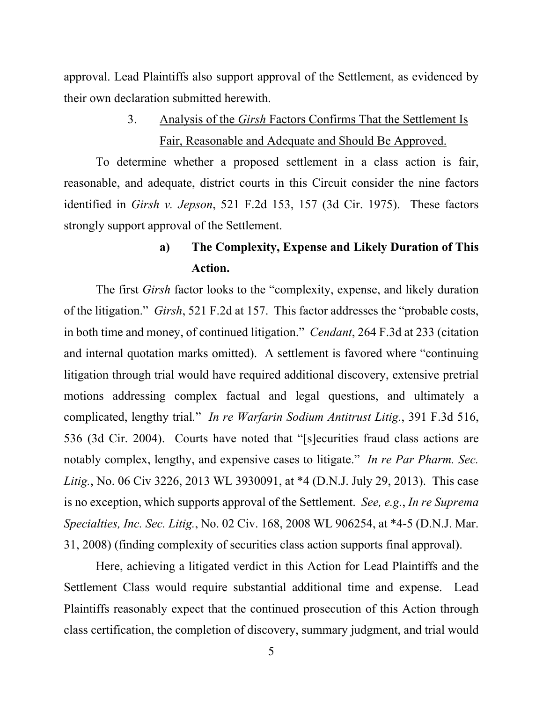approval. Lead Plaintiffs also support approval of the Settlement, as evidenced by their own declaration submitted herewith.

> 3. Analysis of the *Girsh* Factors Confirms That the Settlement Is Fair, Reasonable and Adequate and Should Be Approved.

To determine whether a proposed settlement in a class action is fair, reasonable, and adequate, district courts in this Circuit consider the nine factors identified in *Girsh v. Jepson*, 521 F.2d 153, 157 (3d Cir. 1975). These factors strongly support approval of the Settlement.

### **a) The Complexity, Expense and Likely Duration of This Action.**

The first *Girsh* factor looks to the "complexity, expense, and likely duration of the litigation." *Girsh*, 521 F.2d at 157. This factor addresses the "probable costs, in both time and money, of continued litigation." *Cendant*, 264 F.3d at 233 (citation and internal quotation marks omitted). A settlement is favored where "continuing litigation through trial would have required additional discovery, extensive pretrial motions addressing complex factual and legal questions, and ultimately a complicated, lengthy trial*.*" *In re Warfarin Sodium Antitrust Litig.*, 391 F.3d 516, 536 (3d Cir. 2004). Courts have noted that "[s]ecurities fraud class actions are notably complex, lengthy, and expensive cases to litigate." *In re Par Pharm. Sec. Litig.*, No. 06 Civ 3226, 2013 WL 3930091, at \*4 (D.N.J. July 29, 2013). This case is no exception, which supports approval of the Settlement. *See, e.g.*, *In re Suprema Specialties, Inc. Sec. Litig.*, No. 02 Civ. 168, 2008 WL 906254, at \*4-5 (D.N.J. Mar. 31, 2008) (finding complexity of securities class action supports final approval).

Here, achieving a litigated verdict in this Action for Lead Plaintiffs and the Settlement Class would require substantial additional time and expense. Lead Plaintiffs reasonably expect that the continued prosecution of this Action through class certification, the completion of discovery, summary judgment, and trial would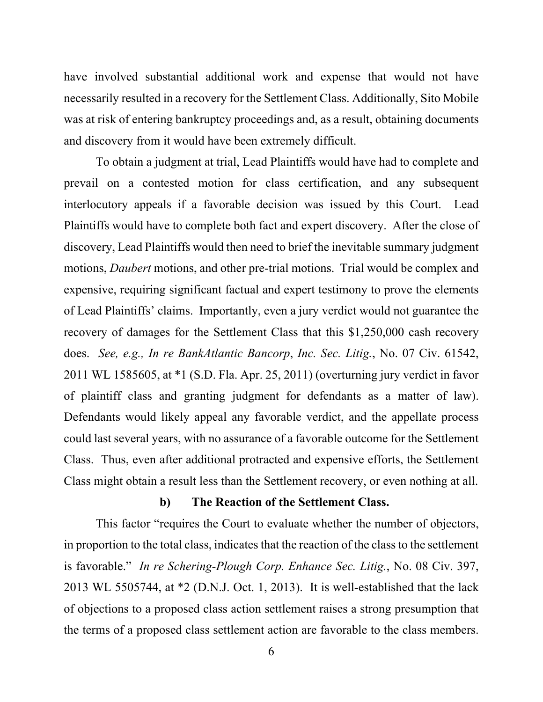have involved substantial additional work and expense that would not have necessarily resulted in a recovery for the Settlement Class. Additionally, Sito Mobile was at risk of entering bankruptcy proceedings and, as a result, obtaining documents and discovery from it would have been extremely difficult.

To obtain a judgment at trial, Lead Plaintiffs would have had to complete and prevail on a contested motion for class certification, and any subsequent interlocutory appeals if a favorable decision was issued by this Court. Lead Plaintiffs would have to complete both fact and expert discovery. After the close of discovery, Lead Plaintiffs would then need to brief the inevitable summary judgment motions, *Daubert* motions, and other pre-trial motions. Trial would be complex and expensive, requiring significant factual and expert testimony to prove the elements of Lead Plaintiffs' claims. Importantly, even a jury verdict would not guarantee the recovery of damages for the Settlement Class that this \$1,250,000 cash recovery does. *See, e.g., In re BankAtlantic Bancorp*, *Inc. Sec. Litig.*, No. 07 Civ. 61542, 2011 WL 1585605, at \*1 (S.D. Fla. Apr. 25, 2011) (overturning jury verdict in favor of plaintiff class and granting judgment for defendants as a matter of law). Defendants would likely appeal any favorable verdict, and the appellate process could last several years, with no assurance of a favorable outcome for the Settlement Class. Thus, even after additional protracted and expensive efforts, the Settlement Class might obtain a result less than the Settlement recovery, or even nothing at all.

### **b) The Reaction of the Settlement Class.**

This factor "requires the Court to evaluate whether the number of objectors, in proportion to the total class, indicates that the reaction of the class to the settlement is favorable." *In re Schering-Plough Corp. Enhance Sec. Litig.*, No. 08 Civ. 397, 2013 WL 5505744, at \*2 (D.N.J. Oct. 1, 2013). It is well-established that the lack of objections to a proposed class action settlement raises a strong presumption that the terms of a proposed class settlement action are favorable to the class members.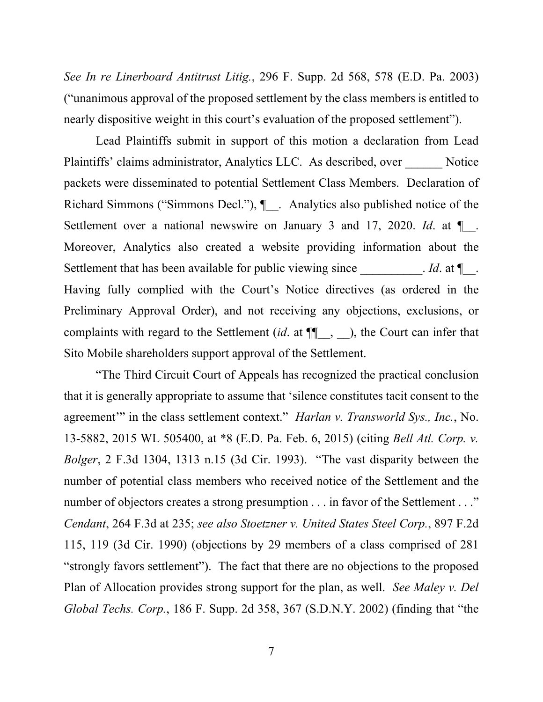*See In re Linerboard Antitrust Litig.*, 296 F. Supp. 2d 568, 578 (E.D. Pa. 2003) ("unanimous approval of the proposed settlement by the class members is entitled to nearly dispositive weight in this court's evaluation of the proposed settlement").

Lead Plaintiffs submit in support of this motion a declaration from Lead Plaintiffs' claims administrator, Analytics LLC. As described, over \_\_\_\_\_\_ Notice packets were disseminated to potential Settlement Class Members. Declaration of Richard Simmons ("Simmons Decl."),  $\llbracket$ . Analytics also published notice of the Settlement over a national newswire on January 3 and 17, 2020. *Id*. at ¶\_\_. Moreover, Analytics also created a website providing information about the Settlement that has been available for public viewing since *Id.* at  $\P$ . Having fully complied with the Court's Notice directives (as ordered in the Preliminary Approval Order), and not receiving any objections, exclusions, or complaints with regard to the Settlement (*id*. at ¶¶\_\_, \_\_), the Court can infer that Sito Mobile shareholders support approval of the Settlement.

"The Third Circuit Court of Appeals has recognized the practical conclusion that it is generally appropriate to assume that 'silence constitutes tacit consent to the agreement'" in the class settlement context." *Harlan v. Transworld Sys., Inc.*, No. 13-5882, 2015 WL 505400, at \*8 (E.D. Pa. Feb. 6, 2015) (citing *Bell Atl. Corp. v. Bolger*, 2 F.3d 1304, 1313 n.15 (3d Cir. 1993). "The vast disparity between the number of potential class members who received notice of the Settlement and the number of objectors creates a strong presumption . . . in favor of the Settlement . . ." *Cendant*, 264 F.3d at 235; *see also Stoetzner v. United States Steel Corp.*, 897 F.2d 115, 119 (3d Cir. 1990) (objections by 29 members of a class comprised of 281 "strongly favors settlement"). The fact that there are no objections to the proposed Plan of Allocation provides strong support for the plan, as well. *See Maley v. Del Global Techs. Corp.*, 186 F. Supp. 2d 358, 367 (S.D.N.Y. 2002) (finding that "the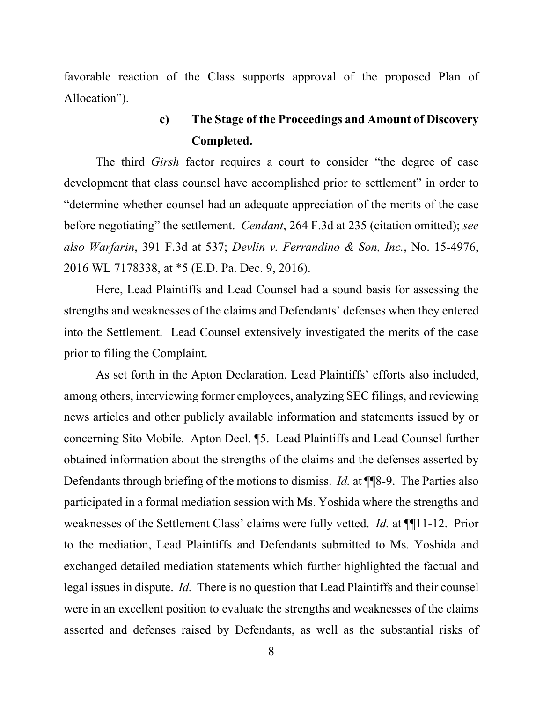favorable reaction of the Class supports approval of the proposed Plan of Allocation").

## **c) The Stage of the Proceedings and Amount of Discovery Completed.**

The third *Girsh* factor requires a court to consider "the degree of case development that class counsel have accomplished prior to settlement" in order to "determine whether counsel had an adequate appreciation of the merits of the case before negotiating" the settlement. *Cendant*, 264 F.3d at 235 (citation omitted); *see also Warfarin*, 391 F.3d at 537; *Devlin v. Ferrandino & Son, Inc.*, No. 15-4976, 2016 WL 7178338, at \*5 (E.D. Pa. Dec. 9, 2016).

Here, Lead Plaintiffs and Lead Counsel had a sound basis for assessing the strengths and weaknesses of the claims and Defendants' defenses when they entered into the Settlement. Lead Counsel extensively investigated the merits of the case prior to filing the Complaint.

As set forth in the Apton Declaration, Lead Plaintiffs' efforts also included, among others, interviewing former employees, analyzing SEC filings, and reviewing news articles and other publicly available information and statements issued by or concerning Sito Mobile. Apton Decl. ¶5. Lead Plaintiffs and Lead Counsel further obtained information about the strengths of the claims and the defenses asserted by Defendants through briefing of the motions to dismiss. *Id.* at ¶¶8-9. The Parties also participated in a formal mediation session with Ms. Yoshida where the strengths and weaknesses of the Settlement Class' claims were fully vetted. *Id.* at ¶¶11-12. Prior to the mediation, Lead Plaintiffs and Defendants submitted to Ms. Yoshida and exchanged detailed mediation statements which further highlighted the factual and legal issues in dispute. *Id.* There is no question that Lead Plaintiffs and their counsel were in an excellent position to evaluate the strengths and weaknesses of the claims asserted and defenses raised by Defendants, as well as the substantial risks of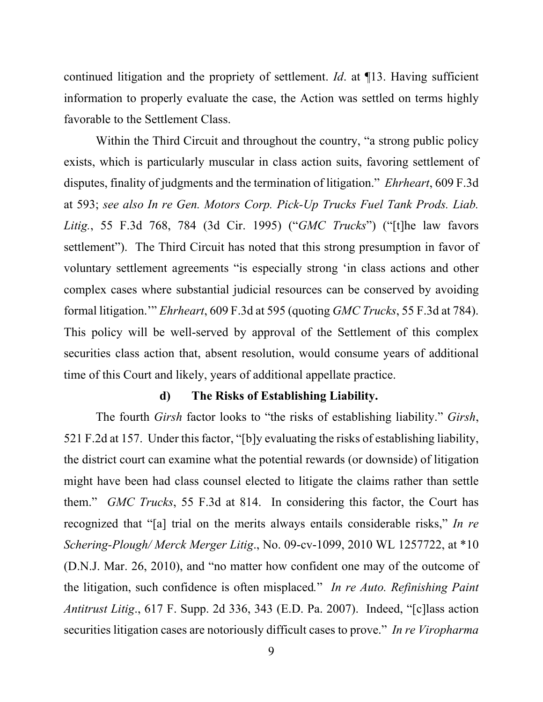continued litigation and the propriety of settlement. *Id*. at ¶13. Having sufficient information to properly evaluate the case, the Action was settled on terms highly favorable to the Settlement Class.

Within the Third Circuit and throughout the country, "a strong public policy exists, which is particularly muscular in class action suits, favoring settlement of disputes, finality of judgments and the termination of litigation." *Ehrheart*, 609 F.3d at 593; *see also In re Gen. Motors Corp. Pick-Up Trucks Fuel Tank Prods. Liab. Litig.*, 55 F.3d 768, 784 (3d Cir. 1995) ("*GMC Trucks*") ("[t]he law favors settlement"). The Third Circuit has noted that this strong presumption in favor of voluntary settlement agreements "is especially strong 'in class actions and other complex cases where substantial judicial resources can be conserved by avoiding formal litigation.'" *Ehrheart*, 609 F.3d at 595 (quoting *GMC Trucks*, 55 F.3d at 784). This policy will be well-served by approval of the Settlement of this complex securities class action that, absent resolution, would consume years of additional time of this Court and likely, years of additional appellate practice.

#### **d) The Risks of Establishing Liability.**

The fourth *Girsh* factor looks to "the risks of establishing liability." *Girsh*, 521 F.2d at 157. Under this factor, "[b]y evaluating the risks of establishing liability, the district court can examine what the potential rewards (or downside) of litigation might have been had class counsel elected to litigate the claims rather than settle them." *GMC Trucks*, 55 F.3d at 814. In considering this factor, the Court has recognized that "[a] trial on the merits always entails considerable risks," *In re Schering-Plough/ Merck Merger Litig*., No. 09-cv-1099, 2010 WL 1257722, at \*10 (D.N.J. Mar. 26, 2010), and "no matter how confident one may of the outcome of the litigation, such confidence is often misplaced*.*" *In re Auto. Refinishing Paint Antitrust Litig*., 617 F. Supp. 2d 336, 343 (E.D. Pa. 2007). Indeed, "[c]lass action securities litigation cases are notoriously difficult cases to prove." *In re Viropharma*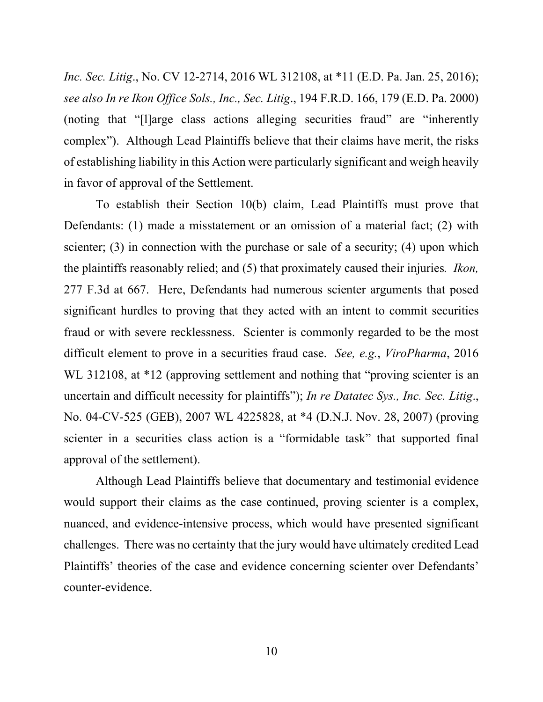*Inc. Sec. Litig*., No. CV 12-2714, 2016 WL 312108, at \*11 (E.D. Pa. Jan. 25, 2016); *see also In re Ikon Office Sols., Inc., Sec. Litig*., 194 F.R.D. 166, 179 (E.D. Pa. 2000) (noting that "[l]arge class actions alleging securities fraud" are "inherently complex").Although Lead Plaintiffs believe that their claims have merit, the risks of establishing liability in this Action were particularly significant and weigh heavily in favor of approval of the Settlement.

To establish their Section 10(b) claim, Lead Plaintiffs must prove that Defendants: (1) made a misstatement or an omission of a material fact; (2) with scienter; (3) in connection with the purchase or sale of a security; (4) upon which the plaintiffs reasonably relied; and (5) that proximately caused their injuries*. Ikon,*  277 F.3d at 667. Here, Defendants had numerous scienter arguments that posed significant hurdles to proving that they acted with an intent to commit securities fraud or with severe recklessness. Scienter is commonly regarded to be the most difficult element to prove in a securities fraud case. *See, e.g.*, *ViroPharma*, 2016 WL 312108, at \*12 (approving settlement and nothing that "proving scienter is an uncertain and difficult necessity for plaintiffs"); *In re Datatec Sys., Inc. Sec. Litig*., No. 04-CV-525 (GEB), 2007 WL 4225828, at \*4 (D.N.J. Nov. 28, 2007) (proving scienter in a securities class action is a "formidable task" that supported final approval of the settlement).

Although Lead Plaintiffs believe that documentary and testimonial evidence would support their claims as the case continued, proving scienter is a complex, nuanced, and evidence-intensive process, which would have presented significant challenges. There was no certainty that the jury would have ultimately credited Lead Plaintiffs' theories of the case and evidence concerning scienter over Defendants' counter-evidence.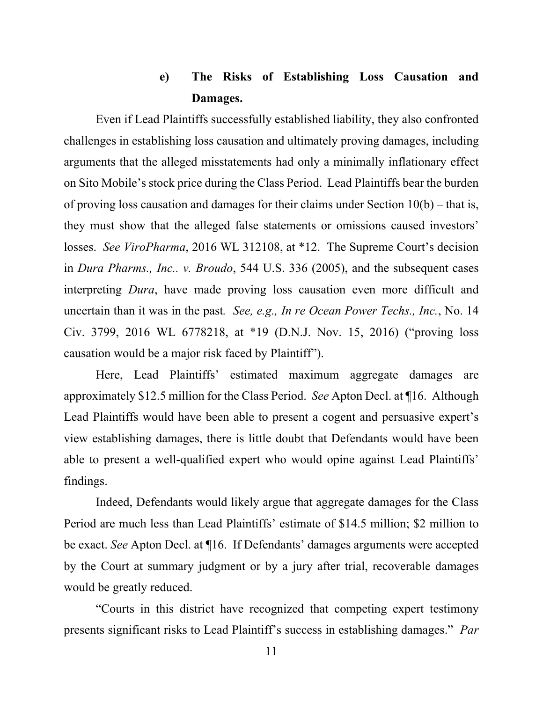## **e) The Risks of Establishing Loss Causation and Damages.**

Even if Lead Plaintiffs successfully established liability, they also confronted challenges in establishing loss causation and ultimately proving damages, including arguments that the alleged misstatements had only a minimally inflationary effect on Sito Mobile's stock price during the Class Period. Lead Plaintiffs bear the burden of proving loss causation and damages for their claims under Section 10(b) – that is, they must show that the alleged false statements or omissions caused investors' losses. *See ViroPharma*, 2016 WL 312108, at \*12. The Supreme Court's decision in *Dura Pharms., Inc.. v. Broudo*, 544 U.S. 336 (2005), and the subsequent cases interpreting *Dura*, have made proving loss causation even more difficult and uncertain than it was in the past*. See, e.g., In re Ocean Power Techs., Inc.*, No. 14 Civ. 3799, 2016 WL 6778218, at \*19 (D.N.J. Nov. 15, 2016) ("proving loss causation would be a major risk faced by Plaintiff").

Here, Lead Plaintiffs' estimated maximum aggregate damages are approximately \$12.5 million for the Class Period. *See* Apton Decl. at ¶16. Although Lead Plaintiffs would have been able to present a cogent and persuasive expert's view establishing damages, there is little doubt that Defendants would have been able to present a well-qualified expert who would opine against Lead Plaintiffs' findings.

Indeed, Defendants would likely argue that aggregate damages for the Class Period are much less than Lead Plaintiffs' estimate of \$14.5 million; \$2 million to be exact. *See* Apton Decl. at ¶16. If Defendants' damages arguments were accepted by the Court at summary judgment or by a jury after trial, recoverable damages would be greatly reduced.

"Courts in this district have recognized that competing expert testimony presents significant risks to Lead Plaintiff's success in establishing damages." *Par*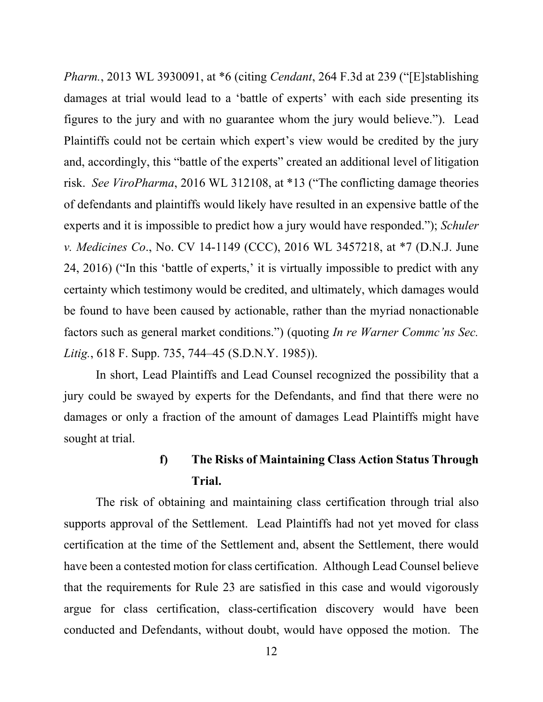*Pharm.*, 2013 WL 3930091, at \*6 (citing *Cendant*, 264 F.3d at 239 ("[E]stablishing damages at trial would lead to a 'battle of experts' with each side presenting its figures to the jury and with no guarantee whom the jury would believe."). Lead Plaintiffs could not be certain which expert's view would be credited by the jury and, accordingly, this "battle of the experts" created an additional level of litigation risk. *See ViroPharma*, 2016 WL 312108, at \*13 ("The conflicting damage theories of defendants and plaintiffs would likely have resulted in an expensive battle of the experts and it is impossible to predict how a jury would have responded."); *Schuler v. Medicines Co*., No. CV 14-1149 (CCC), 2016 WL 3457218, at \*7 (D.N.J. June 24, 2016) ("In this 'battle of experts,' it is virtually impossible to predict with any certainty which testimony would be credited, and ultimately, which damages would be found to have been caused by actionable, rather than the myriad nonactionable factors such as general market conditions.") (quoting *In re Warner Commc'ns Sec. Litig.*, 618 F. Supp. 735, 744–45 (S.D.N.Y. 1985)).

In short, Lead Plaintiffs and Lead Counsel recognized the possibility that a jury could be swayed by experts for the Defendants, and find that there were no damages or only a fraction of the amount of damages Lead Plaintiffs might have sought at trial.

# **f) The Risks of Maintaining Class Action Status Through Trial.**

The risk of obtaining and maintaining class certification through trial also supports approval of the Settlement. Lead Plaintiffs had not yet moved for class certification at the time of the Settlement and, absent the Settlement, there would have been a contested motion for class certification. Although Lead Counsel believe that the requirements for Rule 23 are satisfied in this case and would vigorously argue for class certification, class-certification discovery would have been conducted and Defendants, without doubt, would have opposed the motion. The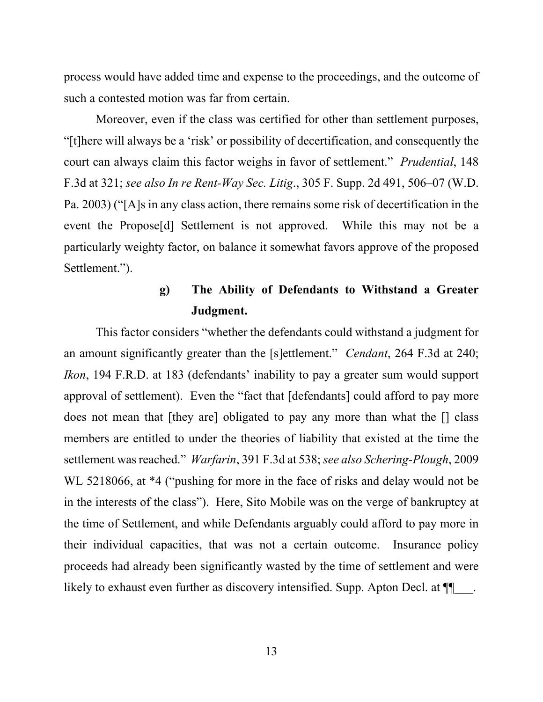process would have added time and expense to the proceedings, and the outcome of such a contested motion was far from certain.

Moreover, even if the class was certified for other than settlement purposes, "[t]here will always be a 'risk' or possibility of decertification, and consequently the court can always claim this factor weighs in favor of settlement." *Prudential*, 148 F.3d at 321; *see also In re Rent-Way Sec. Litig*., 305 F. Supp. 2d 491, 506–07 (W.D. Pa. 2003) ("[A]s in any class action, there remains some risk of decertification in the event the Propose[d] Settlement is not approved. While this may not be a particularly weighty factor, on balance it somewhat favors approve of the proposed Settlement.").

## **g) The Ability of Defendants to Withstand a Greater Judgment.**

This factor considers "whether the defendants could withstand a judgment for an amount significantly greater than the [s]ettlement." *Cendant*, 264 F.3d at 240; *Ikon*, 194 F.R.D. at 183 (defendants' inability to pay a greater sum would support approval of settlement). Even the "fact that [defendants] could afford to pay more does not mean that [they are] obligated to pay any more than what the [] class members are entitled to under the theories of liability that existed at the time the settlement was reached." *Warfarin*, 391 F.3d at 538; *see also Schering-Plough*, 2009 WL 5218066, at \*4 ("pushing for more in the face of risks and delay would not be in the interests of the class"). Here, Sito Mobile was on the verge of bankruptcy at the time of Settlement, and while Defendants arguably could afford to pay more in their individual capacities, that was not a certain outcome. Insurance policy proceeds had already been significantly wasted by the time of settlement and were likely to exhaust even further as discovery intensified. Supp. Apton Decl. at  $\P$ .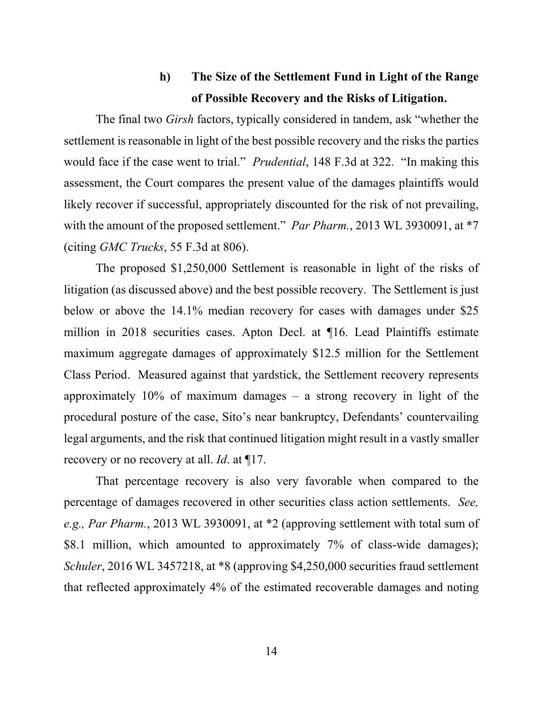### **h) The Size of the Settlement Fund in Light of the Range of Possible Recovery and the Risks of Litigation.**

The final two *Girsh* factors, typically considered in tandem, ask "whether the settlement is reasonable in light of the best possible recovery and the risks the parties would face if the case went to trial." *Prudential*, 148 F.3d at 322. "In making this assessment, the Court compares the present value of the damages plaintiffs would likely recover if successful, appropriately discounted for the risk of not prevailing, with the amount of the proposed settlement." *Par Pharm.*, 2013 WL 3930091, at  $*7$ (citing *GMC Trucks*, 55 F.3d at 806).

The proposed \$1,250,000 Settlement is reasonable in light of the risks of litigation (as discussed above) and the best possible recovery. The Settlement is just below or above the 14.1% median recovery for cases with damages under \$25 million in 2018 securities cases. Apton Decl. at ¶16. Lead Plaintiffs estimate maximum aggregate damages of approximately \$12.5 million for the Settlement Class Period. Measured against that yardstick, the Settlement recovery represents approximately  $10\%$  of maximum damages – a strong recovery in light of the procedural posture of the case, Sito's near bankruptcy, Defendants' countervailing legal arguments, and the risk that continued litigation might result in a vastly smaller recovery or no recovery at all. *Id*. at ¶17.

That percentage recovery is also very favorable when compared to the percentage of damages recovered in other securities class action settlements. *See, e.g., Par Pharm.*, 2013 WL 3930091, at \*2 (approving settlement with total sum of \$8.1 million, which amounted to approximately 7% of class-wide damages); *Schuler*, 2016 WL 3457218, at \*8 (approving \$4,250,000 securities fraud settlement that reflected approximately 4% of the estimated recoverable damages and noting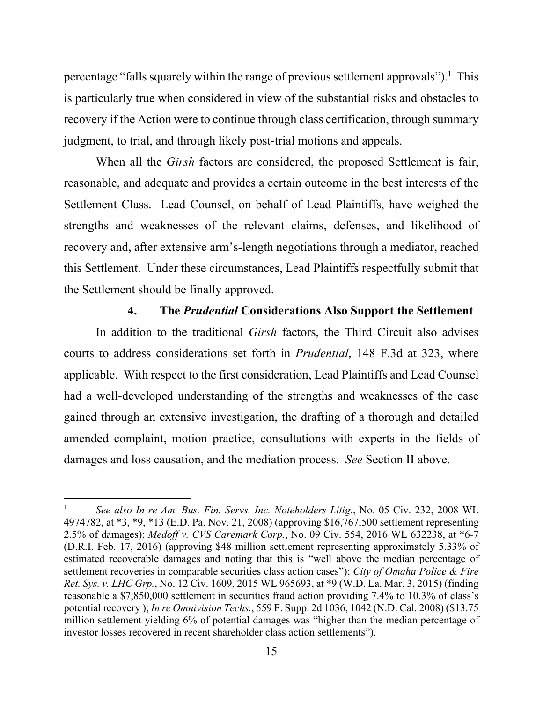percentage "falls squarely within the range of previous settlement approvals").<sup>1</sup> This is particularly true when considered in view of the substantial risks and obstacles to recovery if the Action were to continue through class certification, through summary judgment, to trial, and through likely post-trial motions and appeals.

When all the *Girsh* factors are considered, the proposed Settlement is fair, reasonable, and adequate and provides a certain outcome in the best interests of the Settlement Class. Lead Counsel, on behalf of Lead Plaintiffs, have weighed the strengths and weaknesses of the relevant claims, defenses, and likelihood of recovery and, after extensive arm's-length negotiations through a mediator, reached this Settlement. Under these circumstances, Lead Plaintiffs respectfully submit that the Settlement should be finally approved.

#### **4. The** *Prudential* **Considerations Also Support the Settlement**

In addition to the traditional *Girsh* factors, the Third Circuit also advises courts to address considerations set forth in *Prudential*, 148 F.3d at 323, where applicable. With respect to the first consideration, Lead Plaintiffs and Lead Counsel had a well-developed understanding of the strengths and weaknesses of the case gained through an extensive investigation, the drafting of a thorough and detailed amended complaint, motion practice, consultations with experts in the fields of damages and loss causation, and the mediation process. *See* Section II above.

<sup>1</sup> *See also In re Am. Bus. Fin. Servs. Inc. Noteholders Litig.*, No. 05 Civ. 232, 2008 WL 4974782, at \*3, \*9, \*13 (E.D. Pa. Nov. 21, 2008) (approving \$16,767,500 settlement representing 2.5% of damages); *Medoff v. CVS Caremark Corp.*, No. 09 Civ. 554, 2016 WL 632238, at \*6-7 (D.R.I. Feb. 17, 2016) (approving \$48 million settlement representing approximately 5.33% of estimated recoverable damages and noting that this is "well above the median percentage of settlement recoveries in comparable securities class action cases"); *City of Omaha Police & Fire Ret. Sys. v. LHC Grp.*, No. 12 Civ. 1609, 2015 WL 965693, at \*9 (W.D. La. Mar. 3, 2015) (finding reasonable a \$7,850,000 settlement in securities fraud action providing 7.4% to 10.3% of class's potential recovery ); *In re Omnivision Techs.*, 559 F. Supp. 2d 1036, 1042 (N.D. Cal. 2008) (\$13.75 million settlement yielding 6% of potential damages was "higher than the median percentage of investor losses recovered in recent shareholder class action settlements").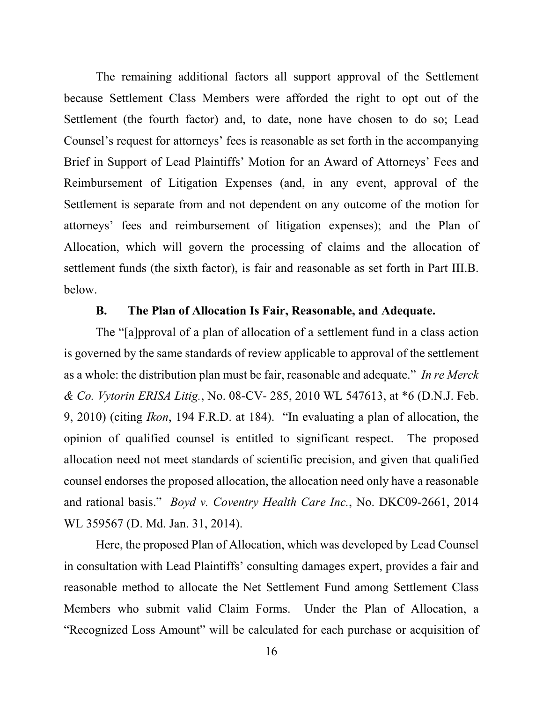The remaining additional factors all support approval of the Settlement because Settlement Class Members were afforded the right to opt out of the Settlement (the fourth factor) and, to date, none have chosen to do so; Lead Counsel's request for attorneys' fees is reasonable as set forth in the accompanying Brief in Support of Lead Plaintiffs' Motion for an Award of Attorneys' Fees and Reimbursement of Litigation Expenses (and, in any event, approval of the Settlement is separate from and not dependent on any outcome of the motion for attorneys' fees and reimbursement of litigation expenses); and the Plan of Allocation, which will govern the processing of claims and the allocation of settlement funds (the sixth factor), is fair and reasonable as set forth in Part III.B. below.

#### **B. The Plan of Allocation Is Fair, Reasonable, and Adequate.**

The "[a]pproval of a plan of allocation of a settlement fund in a class action is governed by the same standards of review applicable to approval of the settlement as a whole: the distribution plan must be fair, reasonable and adequate." *In re Merck & Co. Vytorin ERISA Litig.*, No. 08-CV- 285, 2010 WL 547613, at \*6 (D.N.J. Feb. 9, 2010) (citing *Ikon*, 194 F.R.D. at 184). "In evaluating a plan of allocation, the opinion of qualified counsel is entitled to significant respect. The proposed allocation need not meet standards of scientific precision, and given that qualified counsel endorses the proposed allocation, the allocation need only have a reasonable and rational basis." *Boyd v. Coventry Health Care Inc.*, No. DKC09-2661, 2014 WL 359567 (D. Md. Jan. 31, 2014).

 Here, the proposed Plan of Allocation, which was developed by Lead Counsel in consultation with Lead Plaintiffs' consulting damages expert, provides a fair and reasonable method to allocate the Net Settlement Fund among Settlement Class Members who submit valid Claim Forms. Under the Plan of Allocation, a "Recognized Loss Amount" will be calculated for each purchase or acquisition of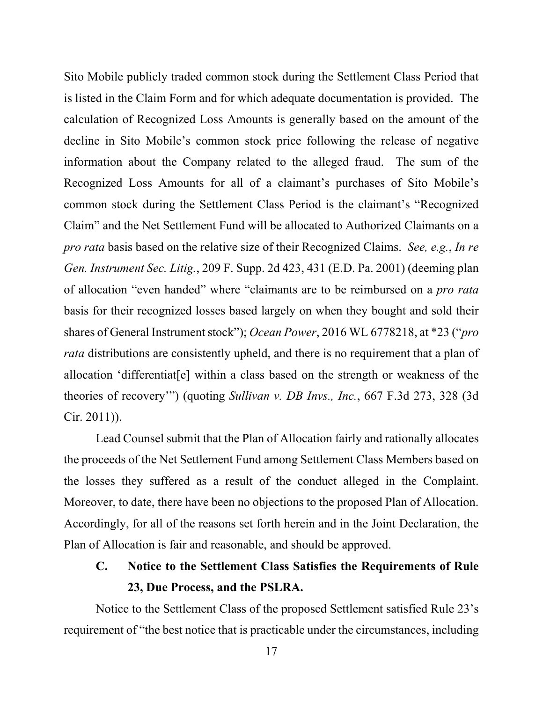Sito Mobile publicly traded common stock during the Settlement Class Period that is listed in the Claim Form and for which adequate documentation is provided. The calculation of Recognized Loss Amounts is generally based on the amount of the decline in Sito Mobile's common stock price following the release of negative information about the Company related to the alleged fraud. The sum of the Recognized Loss Amounts for all of a claimant's purchases of Sito Mobile's common stock during the Settlement Class Period is the claimant's "Recognized Claim" and the Net Settlement Fund will be allocated to Authorized Claimants on a *pro rata* basis based on the relative size of their Recognized Claims. *See, e.g.*, *In re Gen. Instrument Sec. Litig.*, 209 F. Supp. 2d 423, 431 (E.D. Pa. 2001) (deeming plan of allocation "even handed" where "claimants are to be reimbursed on a *pro rata* basis for their recognized losses based largely on when they bought and sold their shares of General Instrument stock"); *Ocean Power*, 2016 WL 6778218, at \*23 ("*pro rata* distributions are consistently upheld, and there is no requirement that a plan of allocation 'differentiat[e] within a class based on the strength or weakness of the theories of recovery'") (quoting *Sullivan v. DB Invs., Inc.*, 667 F.3d 273, 328 (3d Cir. 2011)).

Lead Counsel submit that the Plan of Allocation fairly and rationally allocates the proceeds of the Net Settlement Fund among Settlement Class Members based on the losses they suffered as a result of the conduct alleged in the Complaint. Moreover, to date, there have been no objections to the proposed Plan of Allocation. Accordingly, for all of the reasons set forth herein and in the Joint Declaration, the Plan of Allocation is fair and reasonable, and should be approved.

**C. Notice to the Settlement Class Satisfies the Requirements of Rule 23, Due Process, and the PSLRA.** 

Notice to the Settlement Class of the proposed Settlement satisfied Rule 23's requirement of "the best notice that is practicable under the circumstances, including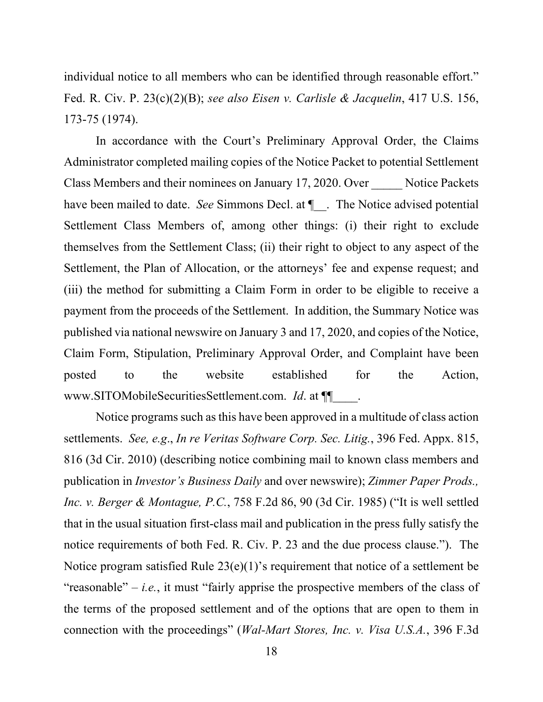individual notice to all members who can be identified through reasonable effort." Fed. R. Civ. P. 23(c)(2)(B); *see also Eisen v. Carlisle & Jacquelin*, 417 U.S. 156, 173-75 (1974).

In accordance with the Court's Preliminary Approval Order, the Claims Administrator completed mailing copies of the Notice Packet to potential Settlement Class Members and their nominees on January 17, 2020. Over Notice Packets have been mailed to date. *See* Simmons Decl. at  $\P$ . The Notice advised potential Settlement Class Members of, among other things: (i) their right to exclude themselves from the Settlement Class; (ii) their right to object to any aspect of the Settlement, the Plan of Allocation, or the attorneys' fee and expense request; and (iii) the method for submitting a Claim Form in order to be eligible to receive a payment from the proceeds of the Settlement. In addition, the Summary Notice was published via national newswire on January 3 and 17, 2020, and copies of the Notice, Claim Form, Stipulation, Preliminary Approval Order, and Complaint have been posted to the website established for the Action, www.SITOMobileSecuritiesSettlement.com. *Id*. at ¶¶\_\_\_\_.

Notice programs such as this have been approved in a multitude of class action settlements. *See, e.g*., *In re Veritas Software Corp. Sec. Litig.*, 396 Fed. Appx. 815, 816 (3d Cir. 2010) (describing notice combining mail to known class members and publication in *Investor's Business Daily* and over newswire); *Zimmer Paper Prods., Inc. v. Berger & Montague, P.C.*, 758 F.2d 86, 90 (3d Cir. 1985) ("It is well settled that in the usual situation first-class mail and publication in the press fully satisfy the notice requirements of both Fed. R. Civ. P. 23 and the due process clause."). The Notice program satisfied Rule 23(e)(1)'s requirement that notice of a settlement be "reasonable"  $-i.e.,$  it must "fairly apprise the prospective members of the class of the terms of the proposed settlement and of the options that are open to them in connection with the proceedings" (*Wal-Mart Stores, Inc. v. Visa U.S.A.*, 396 F.3d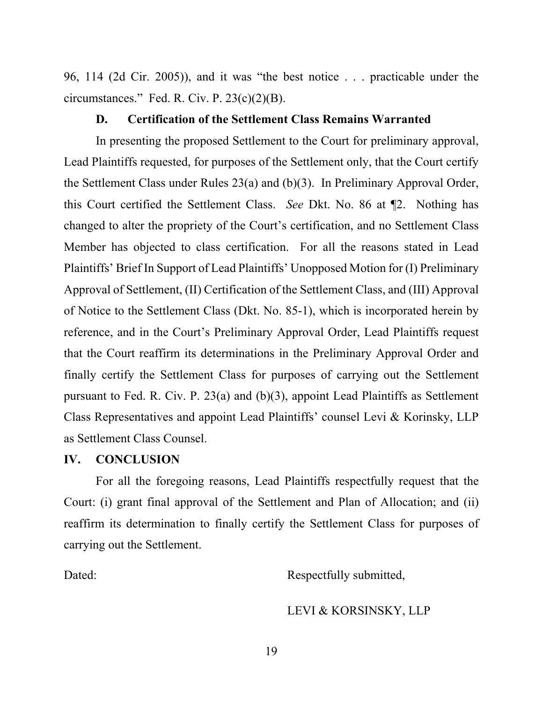96, 114 (2d Cir. 2005)), and it was "the best notice . . . practicable under the circumstances." Fed. R. Civ. P.  $23(c)(2)(B)$ .

#### **D. Certification of the Settlement Class Remains Warranted**

In presenting the proposed Settlement to the Court for preliminary approval, Lead Plaintiffs requested, for purposes of the Settlement only, that the Court certify the Settlement Class under Rules 23(a) and (b)(3). In Preliminary Approval Order, this Court certified the Settlement Class. *See* Dkt. No. 86 at ¶2. Nothing has changed to alter the propriety of the Court's certification, and no Settlement Class Member has objected to class certification. For all the reasons stated in Lead Plaintiffs' Brief In Support of Lead Plaintiffs' Unopposed Motion for (I) Preliminary Approval of Settlement, (II) Certification of the Settlement Class, and (III) Approval of Notice to the Settlement Class (Dkt. No. 85-1), which is incorporated herein by reference, and in the Court's Preliminary Approval Order, Lead Plaintiffs request that the Court reaffirm its determinations in the Preliminary Approval Order and finally certify the Settlement Class for purposes of carrying out the Settlement pursuant to Fed. R. Civ. P. 23(a) and (b)(3), appoint Lead Plaintiffs as Settlement Class Representatives and appoint Lead Plaintiffs' counsel Levi & Korinsky, LLP as Settlement Class Counsel.

#### **IV. CONCLUSION**

For all the foregoing reasons, Lead Plaintiffs respectfully request that the Court: (i) grant final approval of the Settlement and Plan of Allocation; and (ii) reaffirm its determination to finally certify the Settlement Class for purposes of carrying out the Settlement.

Dated: Respectfully submitted,

LEVI & KORSINSKY, LLP

19